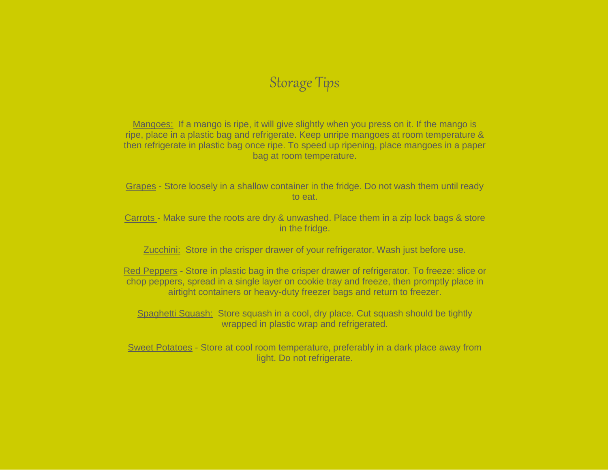# Storage Tips

Mangoes: If a mango is ripe, it will give slightly when you press on it. If the mango is ripe, place in a plastic bag and refrigerate. Keep unripe mangoes at room temperature & then refrigerate in plastic bag once ripe. To speed up ripening, place mangoes in a paper bag at room temperature.

Grapes - Store loosely in a shallow container in the fridge. Do not wash them until ready to eat.

Carrots - Make sure the roots are dry & unwashed. Place them in a zip lock bags & store in the fridge.

Zucchini: Store in the crisper drawer of your refrigerator. Wash just before use.

Red Peppers - Store in plastic bag in the crisper drawer of refrigerator. To freeze: slice or chop peppers, spread in a single layer on cookie tray and freeze, then promptly place in airtight containers or heavy-duty freezer bags and return to freezer.

Spaghetti Squash: Store squash in a cool, dry place. Cut squash should be tightly wrapped in plastic wrap and refrigerated.

Sweet Potatoes - Store at cool room temperature, preferably in a dark place away from light. Do not refrigerate.